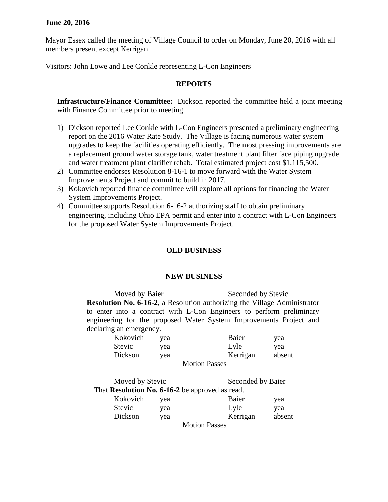## **June 20, 2016**

Mayor Essex called the meeting of Village Council to order on Monday, June 20, 2016 with all members present except Kerrigan.

Visitors: John Lowe and Lee Conkle representing L-Con Engineers

## **REPORTS**

**Infrastructure/Finance Committee:** Dickson reported the committee held a joint meeting with Finance Committee prior to meeting.

- 1) Dickson reported Lee Conkle with L-Con Engineers presented a preliminary engineering report on the 2016 Water Rate Study. The Village is facing numerous water system upgrades to keep the facilities operating efficiently. The most pressing improvements are a replacement ground water storage tank, water treatment plant filter face piping upgrade and water treatment plant clarifier rehab. Total estimated project cost \$1,115,500.
- 2) Committee endorses Resolution 8-16-1 to move forward with the Water System Improvements Project and commit to build in 2017.
- 3) Kokovich reported finance committee will explore all options for financing the Water System Improvements Project.
- 4) Committee supports Resolution 6-16-2 authorizing staff to obtain preliminary engineering, including Ohio EPA permit and enter into a contract with L-Con Engineers for the proposed Water System Improvements Project.

## **OLD BUSINESS**

## **NEW BUSINESS**

Moved by Baier Seconded by Stevic **Resolution No. 6-16-2**, a Resolution authorizing the Village Administrator to enter into a contract with L-Con Engineers to perform preliminary engineering for the proposed Water System Improvements Project and declaring an emergency.

| Kokovich | vea | Baier                | yea    |
|----------|-----|----------------------|--------|
| Stevic   | yea | Lyle                 | yea    |
| Dickson  | vea | Kerrigan             | absent |
|          |     | <b>Motion Passes</b> |        |

| Moved by Stevic |     |                                                 | Seconded by Baier |  |
|-----------------|-----|-------------------------------------------------|-------------------|--|
|                 |     | That Resolution No. 6-16-2 be approved as read. |                   |  |
| Kokovich        | yea | Baier                                           | yea               |  |
| <b>Stevic</b>   | yea | Lyle                                            | yea               |  |
| Dickson         | yea | Kerrigan                                        | absent            |  |
|                 |     | $M_{\text{min}}$ $D_{\text{max}}$               |                   |  |

Motion Passes